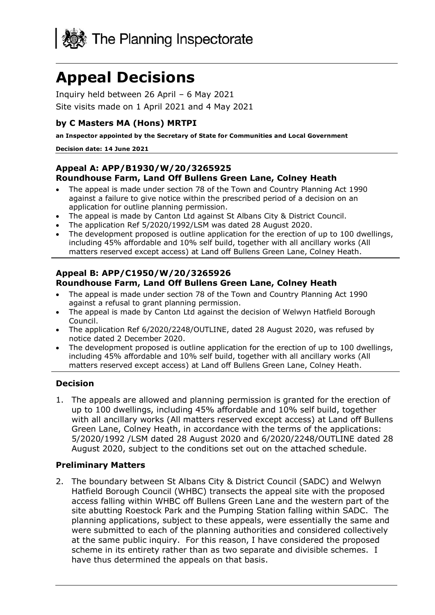

# **Appeal Decisions**

Inquiry held between 26 April – 6 May 2021 Site visits made on 1 April 2021 and 4 May 2021

### **by C Masters MA (Hons) MRTPI**

**an Inspector appointed by the Secretary of State for Communities and Local Government**

#### **Decision date: 14 June 2021**

#### **Appeal A: APP/B1930/W/20/3265925 Roundhouse Farm, Land Off Bullens Green Lane, Colney Heath**

- The appeal is made under section 78 of the Town and Country Planning Act 1990 against a failure to give notice within the prescribed period of a decision on an application for outline planning permission.
- The appeal is made by Canton Ltd against St Albans City & District Council.
- The application Ref 5/2020/1992/LSM was dated 28 August 2020.
- The development proposed is outline application for the erection of up to 100 dwellings, including 45% affordable and 10% self build, together with all ancillary works (All matters reserved except access) at Land off Bullens Green Lane, Colney Heath.

## **Appeal B: APP/C1950/W/20/3265926 Roundhouse Farm, Land Off Bullens Green Lane, Colney Heath**

- The appeal is made under section 78 of the Town and Country Planning Act 1990 against a refusal to grant planning permission.
- The appeal is made by Canton Ltd against the decision of Welwyn Hatfield Borough Council.
- The application Ref 6/2020/2248/OUTLINE, dated 28 August 2020, was refused by notice dated 2 December 2020.
- The development proposed is outline application for the erection of up to 100 dwellings, including 45% affordable and 10% self build, together with all ancillary works (All matters reserved except access) at Land off Bullens Green Lane, Colney Heath.

# **Decision**

1. The appeals are allowed and planning permission is granted for the erection of up to 100 dwellings, including 45% affordable and 10% self build, together with all ancillary works (All matters reserved except access) at Land off Bullens Green Lane, Colney Heath, in accordance with the terms of the applications: 5/2020/1992 /LSM dated 28 August 2020 and 6/2020/2248/OUTLINE dated 28 August 2020, subject to the conditions set out on the attached schedule.

#### **Preliminary Matters**

2. The boundary between St Albans City & District Council (SADC) and Welwyn Hatfield Borough Council (WHBC) transects the appeal site with the proposed access falling within WHBC off Bullens Green Lane and the western part of the site abutting Roestock Park and the Pumping Station falling within SADC. The planning applications, subject to these appeals, were essentially the same and were submitted to each of the planning authorities and considered collectively at the same public inquiry. For this reason, I have considered the proposed scheme in its entirety rather than as two separate and divisible schemes. I have thus determined the appeals on that basis.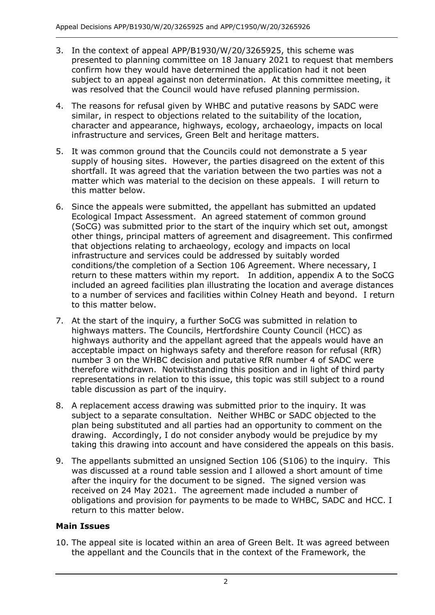- 3. In the context of appeal APP/B1930/W/20/3265925, this scheme was presented to planning committee on 18 January 2021 to request that members confirm how they would have determined the application had it not been subject to an appeal against non determination. At this committee meeting, it was resolved that the Council would have refused planning permission.
- 4. The reasons for refusal given by WHBC and putative reasons by SADC were similar, in respect to objections related to the suitability of the location, character and appearance, highways, ecology, archaeology, impacts on local infrastructure and services, Green Belt and heritage matters.
- 5. It was common ground that the Councils could not demonstrate a 5 year supply of housing sites. However, the parties disagreed on the extent of this shortfall. It was agreed that the variation between the two parties was not a matter which was material to the decision on these appeals. I will return to this matter below.
- 6. Since the appeals were submitted, the appellant has submitted an updated Ecological Impact Assessment. An agreed statement of common ground (SoCG) was submitted prior to the start of the inquiry which set out, amongst other things, principal matters of agreement and disagreement. This confirmed that objections relating to archaeology, ecology and impacts on local infrastructure and services could be addressed by suitably worded conditions/the completion of a Section 106 Agreement. Where necessary, I return to these matters within my report. In addition, appendix A to the SoCG included an agreed facilities plan illustrating the location and average distances to a number of services and facilities within Colney Heath and beyond. I return to this matter below.
- 7. At the start of the inquiry, a further SoCG was submitted in relation to highways matters. The Councils, Hertfordshire County Council (HCC) as highways authority and the appellant agreed that the appeals would have an acceptable impact on highways safety and therefore reason for refusal (RfR) number 3 on the WHBC decision and putative RfR number 4 of SADC were therefore withdrawn. Notwithstanding this position and in light of third party representations in relation to this issue, this topic was still subject to a round table discussion as part of the inquiry.
- 8. A replacement access drawing was submitted prior to the inquiry. It was subject to a separate consultation. Neither WHBC or SADC objected to the plan being substituted and all parties had an opportunity to comment on the drawing. Accordingly, I do not consider anybody would be prejudice by my taking this drawing into account and have considered the appeals on this basis.
- 9. The appellants submitted an unsigned Section 106 (S106) to the inquiry. This was discussed at a round table session and I allowed a short amount of time after the inquiry for the document to be signed. The signed version was received on 24 May 2021. The agreement made included a number of obligations and provision for payments to be made to WHBC, SADC and HCC. I return to this matter below.

# **Main Issues**

10. The appeal site is located within an area of Green Belt. It was agreed between the appellant and the Councils that in the context of the Framework, the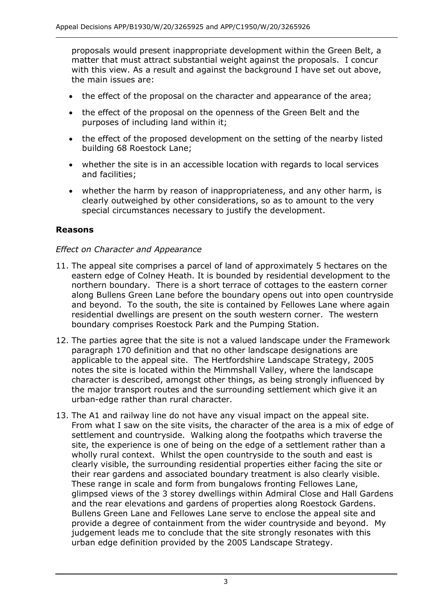proposals would present inappropriate development within the Green Belt, a matter that must attract substantial weight against the proposals. I concur with this view. As a result and against the background I have set out above, the main issues are:

- the effect of the proposal on the character and appearance of the area;
- the effect of the proposal on the openness of the Green Belt and the purposes of including land within it;
- the effect of the proposed development on the setting of the nearby listed building 68 Roestock Lane;
- whether the site is in an accessible location with regards to local services and facilities;
- whether the harm by reason of inappropriateness, and any other harm, is clearly outweighed by other considerations, so as to amount to the very special circumstances necessary to justify the development.

## **Reasons**

#### *Effect on Character and Appearance*

- 11. The appeal site comprises a parcel of land of approximately 5 hectares on the eastern edge of Colney Heath. It is bounded by residential development to the northern boundary. There is a short terrace of cottages to the eastern corner along Bullens Green Lane before the boundary opens out into open countryside and beyond. To the south, the site is contained by Fellowes Lane where again residential dwellings are present on the south western corner. The western boundary comprises Roestock Park and the Pumping Station.
- 12. The parties agree that the site is not a valued landscape under the Framework paragraph 170 definition and that no other landscape designations are applicable to the appeal site. The Hertfordshire Landscape Strategy, 2005 notes the site is located within the Mimmshall Valley, where the landscape character is described, amongst other things, as being strongly influenced by the major transport routes and the surrounding settlement which give it an urban-edge rather than rural character.
- 13. The A1 and railway line do not have any visual impact on the appeal site. From what I saw on the site visits, the character of the area is a mix of edge of settlement and countryside. Walking along the footpaths which traverse the site, the experience is one of being on the edge of a settlement rather than a wholly rural context. Whilst the open countryside to the south and east is clearly visible, the surrounding residential properties either facing the site or their rear gardens and associated boundary treatment is also clearly visible. These range in scale and form from bungalows fronting Fellowes Lane, glimpsed views of the 3 storey dwellings within Admiral Close and Hall Gardens and the rear elevations and gardens of properties along Roestock Gardens. Bullens Green Lane and Fellowes Lane serve to enclose the appeal site and provide a degree of containment from the wider countryside and beyond. My judgement leads me to conclude that the site strongly resonates with this urban edge definition provided by the 2005 Landscape Strategy.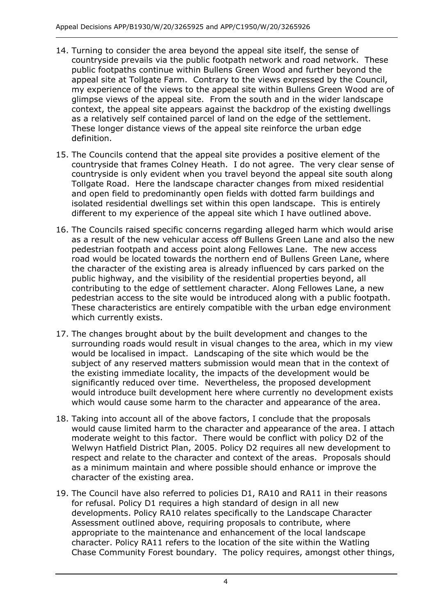- 14. Turning to consider the area beyond the appeal site itself, the sense of countryside prevails via the public footpath network and road network. These public footpaths continue within Bullens Green Wood and further beyond the appeal site at Tollgate Farm. Contrary to the views expressed by the Council, my experience of the views to the appeal site within Bullens Green Wood are of glimpse views of the appeal site. From the south and in the wider landscape context, the appeal site appears against the backdrop of the existing dwellings as a relatively self contained parcel of land on the edge of the settlement. These longer distance views of the appeal site reinforce the urban edge definition.
- 15. The Councils contend that the appeal site provides a positive element of the countryside that frames Colney Heath. I do not agree. The very clear sense of countryside is only evident when you travel beyond the appeal site south along Tollgate Road. Here the landscape character changes from mixed residential and open field to predominantly open fields with dotted farm buildings and isolated residential dwellings set within this open landscape. This is entirely different to my experience of the appeal site which I have outlined above.
- 16. The Councils raised specific concerns regarding alleged harm which would arise as a result of the new vehicular access off Bullens Green Lane and also the new pedestrian footpath and access point along Fellowes Lane. The new access road would be located towards the northern end of Bullens Green Lane, where the character of the existing area is already influenced by cars parked on the public highway, and the visibility of the residential properties beyond, all contributing to the edge of settlement character. Along Fellowes Lane, a new pedestrian access to the site would be introduced along with a public footpath. These characteristics are entirely compatible with the urban edge environment which currently exists.
- 17. The changes brought about by the built development and changes to the surrounding roads would result in visual changes to the area, which in my view would be localised in impact. Landscaping of the site which would be the subject of any reserved matters submission would mean that in the context of the existing immediate locality, the impacts of the development would be significantly reduced over time. Nevertheless, the proposed development would introduce built development here where currently no development exists which would cause some harm to the character and appearance of the area.
- 18. Taking into account all of the above factors, I conclude that the proposals would cause limited harm to the character and appearance of the area. I attach moderate weight to this factor. There would be conflict with policy D2 of the Welwyn Hatfield District Plan, 2005. Policy D2 requires all new development to respect and relate to the character and context of the areas. Proposals should as a minimum maintain and where possible should enhance or improve the character of the existing area.
- 19. The Council have also referred to policies D1, RA10 and RA11 in their reasons for refusal. Policy D1 requires a high standard of design in all new developments. Policy RA10 relates specifically to the Landscape Character Assessment outlined above, requiring proposals to contribute, where appropriate to the maintenance and enhancement of the local landscape character. Policy RA11 refers to the location of the site within the Watling Chase Community Forest boundary. The policy requires, amongst other things,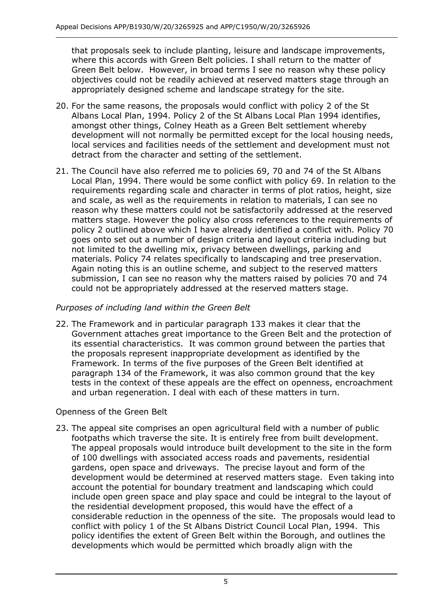that proposals seek to include planting, leisure and landscape improvements, where this accords with Green Belt policies. I shall return to the matter of Green Belt below. However, in broad terms I see no reason why these policy objectives could not be readily achieved at reserved matters stage through an appropriately designed scheme and landscape strategy for the site.

- 20. For the same reasons, the proposals would conflict with policy 2 of the St Albans Local Plan, 1994. Policy 2 of the St Albans Local Plan 1994 identifies, amongst other things, Colney Heath as a Green Belt settlement whereby development will not normally be permitted except for the local housing needs, local services and facilities needs of the settlement and development must not detract from the character and setting of the settlement.
- 21. The Council have also referred me to policies 69, 70 and 74 of the St Albans Local Plan, 1994. There would be some conflict with policy 69. In relation to the requirements regarding scale and character in terms of plot ratios, height, size and scale, as well as the requirements in relation to materials, I can see no reason why these matters could not be satisfactorily addressed at the reserved matters stage. However the policy also cross references to the requirements of policy 2 outlined above which I have already identified a conflict with. Policy 70 goes onto set out a number of design criteria and layout criteria including but not limited to the dwelling mix, privacy between dwellings, parking and materials. Policy 74 relates specifically to landscaping and tree preservation. Again noting this is an outline scheme, and subject to the reserved matters submission, I can see no reason why the matters raised by policies 70 and 74 could not be appropriately addressed at the reserved matters stage.

# *Purposes of including land within the Green Belt*

22. The Framework and in particular paragraph 133 makes it clear that the Government attaches great importance to the Green Belt and the protection of its essential characteristics. It was common ground between the parties that the proposals represent inappropriate development as identified by the Framework. In terms of the five purposes of the Green Belt identified at paragraph 134 of the Framework, it was also common ground that the key tests in the context of these appeals are the effect on openness, encroachment and urban regeneration. I deal with each of these matters in turn.

Openness of the Green Belt

23. The appeal site comprises an open agricultural field with a number of public footpaths which traverse the site. It is entirely free from built development. The appeal proposals would introduce built development to the site in the form of 100 dwellings with associated access roads and pavements, residential gardens, open space and driveways. The precise layout and form of the development would be determined at reserved matters stage. Even taking into account the potential for boundary treatment and landscaping which could include open green space and play space and could be integral to the layout of the residential development proposed, this would have the effect of a considerable reduction in the openness of the site. The proposals would lead to conflict with policy 1 of the St Albans District Council Local Plan, 1994. This policy identifies the extent of Green Belt within the Borough, and outlines the developments which would be permitted which broadly align with the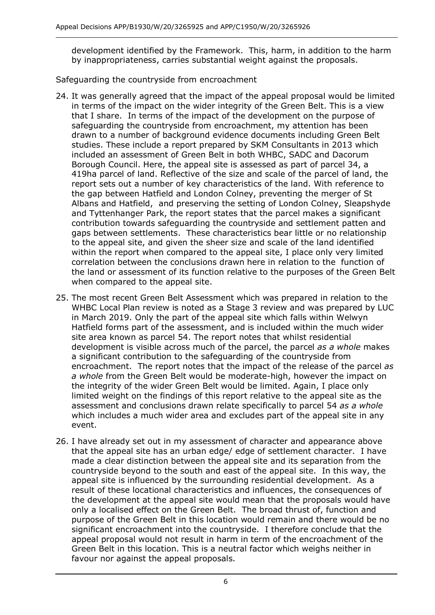development identified by the Framework. This, harm, in addition to the harm by inappropriateness, carries substantial weight against the proposals.

Safeguarding the countryside from encroachment

- 24. It was generally agreed that the impact of the appeal proposal would be limited in terms of the impact on the wider integrity of the Green Belt. This is a view that I share. In terms of the impact of the development on the purpose of safeguarding the countryside from encroachment, my attention has been drawn to a number of background evidence documents including Green Belt studies. These include a report prepared by SKM Consultants in 2013 which included an assessment of Green Belt in both WHBC, SADC and Dacorum Borough Council. Here, the appeal site is assessed as part of parcel 34, a 419ha parcel of land. Reflective of the size and scale of the parcel of land, the report sets out a number of key characteristics of the land. With reference to the gap between Hatfield and London Colney, preventing the merger of St Albans and Hatfield, and preserving the setting of London Colney, Sleapshyde and Tyttenhanger Park, the report states that the parcel makes a significant contribution towards safeguarding the countryside and settlement patten and gaps between settlements. These characteristics bear little or no relationship to the appeal site, and given the sheer size and scale of the land identified within the report when compared to the appeal site, I place only very limited correlation between the conclusions drawn here in relation to the function of the land or assessment of its function relative to the purposes of the Green Belt when compared to the appeal site.
- 25. The most recent Green Belt Assessment which was prepared in relation to the WHBC Local Plan review is noted as a Stage 3 review and was prepared by LUC in March 2019. Only the part of the appeal site which falls within Welwyn Hatfield forms part of the assessment, and is included within the much wider site area known as parcel 54. The report notes that whilst residential development is visible across much of the parcel, the parcel *as a whole* makes a significant contribution to the safeguarding of the countryside from encroachment. The report notes that the impact of the release of the parcel *as a whole* from the Green Belt would be moderate-high, however the impact on the integrity of the wider Green Belt would be limited. Again, I place only limited weight on the findings of this report relative to the appeal site as the assessment and conclusions drawn relate specifically to parcel 54 *as a whole* which includes a much wider area and excludes part of the appeal site in any event.
- 26. I have already set out in my assessment of character and appearance above that the appeal site has an urban edge/ edge of settlement character. I have made a clear distinction between the appeal site and its separation from the countryside beyond to the south and east of the appeal site. In this way, the appeal site is influenced by the surrounding residential development. As a result of these locational characteristics and influences, the consequences of the development at the appeal site would mean that the proposals would have only a localised effect on the Green Belt. The broad thrust of, function and purpose of the Green Belt in this location would remain and there would be no significant encroachment into the countryside. I therefore conclude that the appeal proposal would not result in harm in term of the encroachment of the Green Belt in this location. This is a neutral factor which weighs neither in favour nor against the appeal proposals.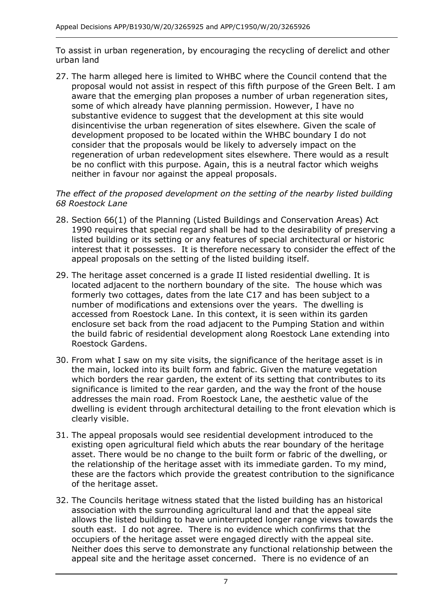To assist in urban regeneration, by encouraging the recycling of derelict and other urban land

27. The harm alleged here is limited to WHBC where the Council contend that the proposal would not assist in respect of this fifth purpose of the Green Belt. I am aware that the emerging plan proposes a number of urban regeneration sites, some of which already have planning permission. However, I have no substantive evidence to suggest that the development at this site would disincentivise the urban regeneration of sites elsewhere. Given the scale of development proposed to be located within the WHBC boundary I do not consider that the proposals would be likely to adversely impact on the regeneration of urban redevelopment sites elsewhere. There would as a result be no conflict with this purpose. Again, this is a neutral factor which weighs neither in favour nor against the appeal proposals.

## *The effect of the proposed development on the setting of the nearby listed building 68 Roestock Lane*

- 28. Section 66(1) of the Planning (Listed Buildings and Conservation Areas) Act 1990 requires that special regard shall be had to the desirability of preserving a listed building or its setting or any features of special architectural or historic interest that it possesses. It is therefore necessary to consider the effect of the appeal proposals on the setting of the listed building itself.
- 29. The heritage asset concerned is a grade II listed residential dwelling. It is located adjacent to the northern boundary of the site. The house which was formerly two cottages, dates from the late C17 and has been subject to a number of modifications and extensions over the years. The dwelling is accessed from Roestock Lane. In this context, it is seen within its garden enclosure set back from the road adjacent to the Pumping Station and within the build fabric of residential development along Roestock Lane extending into Roestock Gardens.
- 30. From what I saw on my site visits, the significance of the heritage asset is in the main, locked into its built form and fabric. Given the mature vegetation which borders the rear garden, the extent of its setting that contributes to its significance is limited to the rear garden, and the way the front of the house addresses the main road. From Roestock Lane, the aesthetic value of the dwelling is evident through architectural detailing to the front elevation which is clearly visible.
- 31. The appeal proposals would see residential development introduced to the existing open agricultural field which abuts the rear boundary of the heritage asset. There would be no change to the built form or fabric of the dwelling, or the relationship of the heritage asset with its immediate garden. To my mind, these are the factors which provide the greatest contribution to the significance of the heritage asset.
- 32. The Councils heritage witness stated that the listed building has an historical association with the surrounding agricultural land and that the appeal site allows the listed building to have uninterrupted longer range views towards the south east. I do not agree. There is no evidence which confirms that the occupiers of the heritage asset were engaged directly with the appeal site. Neither does this serve to demonstrate any functional relationship between the appeal site and the heritage asset concerned. There is no evidence of an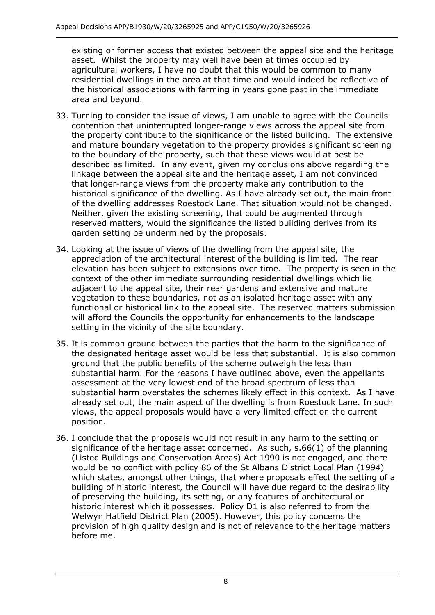existing or former access that existed between the appeal site and the heritage asset. Whilst the property may well have been at times occupied by agricultural workers, I have no doubt that this would be common to many residential dwellings in the area at that time and would indeed be reflective of the historical associations with farming in years gone past in the immediate area and beyond.

- 33. Turning to consider the issue of views, I am unable to agree with the Councils contention that uninterrupted longer-range views across the appeal site from the property contribute to the significance of the listed building. The extensive and mature boundary vegetation to the property provides significant screening to the boundary of the property, such that these views would at best be described as limited. In any event, given my conclusions above regarding the linkage between the appeal site and the heritage asset, I am not convinced that longer-range views from the property make any contribution to the historical significance of the dwelling. As I have already set out, the main front of the dwelling addresses Roestock Lane. That situation would not be changed. Neither, given the existing screening, that could be augmented through reserved matters, would the significance the listed building derives from its garden setting be undermined by the proposals.
- 34. Looking at the issue of views of the dwelling from the appeal site, the appreciation of the architectural interest of the building is limited. The rear elevation has been subject to extensions over time. The property is seen in the context of the other immediate surrounding residential dwellings which lie adjacent to the appeal site, their rear gardens and extensive and mature vegetation to these boundaries, not as an isolated heritage asset with any functional or historical link to the appeal site. The reserved matters submission will afford the Councils the opportunity for enhancements to the landscape setting in the vicinity of the site boundary.
- 35. It is common ground between the parties that the harm to the significance of the designated heritage asset would be less that substantial. It is also common ground that the public benefits of the scheme outweigh the less than substantial harm. For the reasons I have outlined above, even the appellants assessment at the very lowest end of the broad spectrum of less than substantial harm overstates the schemes likely effect in this context. As I have already set out, the main aspect of the dwelling is from Roestock Lane. In such views, the appeal proposals would have a very limited effect on the current position.
- 36. I conclude that the proposals would not result in any harm to the setting or significance of the heritage asset concerned. As such, s.66(1) of the planning (Listed Buildings and Conservation Areas) Act 1990 is not engaged, and there would be no conflict with policy 86 of the St Albans District Local Plan (1994) which states, amongst other things, that where proposals effect the setting of a building of historic interest, the Council will have due regard to the desirability of preserving the building, its setting, or any features of architectural or historic interest which it possesses. Policy D1 is also referred to from the Welwyn Hatfield District Plan (2005). However, this policy concerns the provision of high quality design and is not of relevance to the heritage matters before me.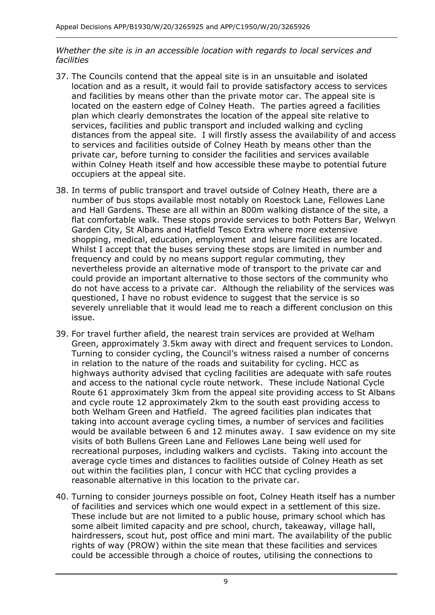#### *Whether the site is in an accessible location with regards to local services and facilities*

- 37. The Councils contend that the appeal site is in an unsuitable and isolated location and as a result, it would fail to provide satisfactory access to services and facilities by means other than the private motor car. The appeal site is located on the eastern edge of Colney Heath. The parties agreed a facilities plan which clearly demonstrates the location of the appeal site relative to services, facilities and public transport and included walking and cycling distances from the appeal site. I will firstly assess the availability of and access to services and facilities outside of Colney Heath by means other than the private car, before turning to consider the facilities and services available within Colney Heath itself and how accessible these maybe to potential future occupiers at the appeal site.
- 38. In terms of public transport and travel outside of Colney Heath, there are a number of bus stops available most notably on Roestock Lane, Fellowes Lane and Hall Gardens. These are all within an 800m walking distance of the site, a flat comfortable walk. These stops provide services to both Potters Bar, Welwyn Garden City, St Albans and Hatfield Tesco Extra where more extensive shopping, medical, education, employment and leisure facilities are located. Whilst I accept that the buses serving these stops are limited in number and frequency and could by no means support regular commuting, they nevertheless provide an alternative mode of transport to the private car and could provide an important alternative to those sectors of the community who do not have access to a private car. Although the reliability of the services was questioned, I have no robust evidence to suggest that the service is so severely unreliable that it would lead me to reach a different conclusion on this issue.
- 39. For travel further afield, the nearest train services are provided at Welham Green, approximately 3.5km away with direct and frequent services to London. Turning to consider cycling, the Council's witness raised a number of concerns in relation to the nature of the roads and suitability for cycling. HCC as highways authority advised that cycling facilities are adequate with safe routes and access to the national cycle route network. These include National Cycle Route 61 approximately 3km from the appeal site providing access to St Albans and cycle route 12 approximately 2km to the south east providing access to both Welham Green and Hatfield. The agreed facilities plan indicates that taking into account average cycling times, a number of services and facilities would be available between 6 and 12 minutes away. I saw evidence on my site visits of both Bullens Green Lane and Fellowes Lane being well used for recreational purposes, including walkers and cyclists. Taking into account the average cycle times and distances to facilities outside of Colney Heath as set out within the facilities plan, I concur with HCC that cycling provides a reasonable alternative in this location to the private car.
- 40. Turning to consider journeys possible on foot, Colney Heath itself has a number of facilities and services which one would expect in a settlement of this size. These include but are not limited to a public house, primary school which has some albeit limited capacity and pre school, church, takeaway, village hall, hairdressers, scout hut, post office and mini mart. The availability of the public rights of way (PROW) within the site mean that these facilities and services could be accessible through a choice of routes, utilising the connections to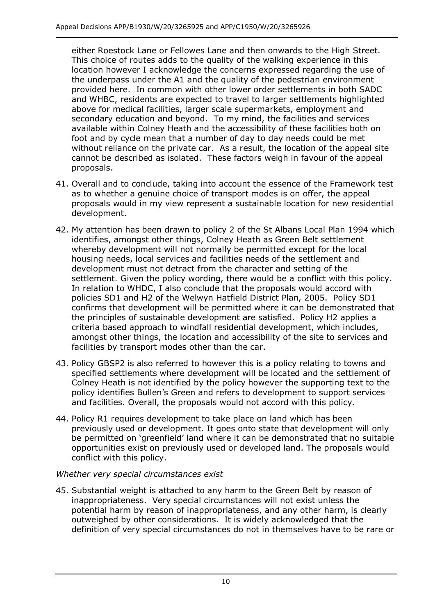either Roestock Lane or Fellowes Lane and then onwards to the High Street. This choice of routes adds to the quality of the walking experience in this location however I acknowledge the concerns expressed regarding the use of the underpass under the A1 and the quality of the pedestrian environment provided here. In common with other lower order settlements in both SADC and WHBC, residents are expected to travel to larger settlements highlighted above for medical facilities, larger scale supermarkets, employment and secondary education and beyond. To my mind, the facilities and services available within Colney Heath and the accessibility of these facilities both on foot and by cycle mean that a number of day to day needs could be met without reliance on the private car. As a result, the location of the appeal site cannot be described as isolated. These factors weigh in favour of the appeal proposals.

- 41. Overall and to conclude, taking into account the essence of the Framework test as to whether a genuine choice of transport modes is on offer, the appeal proposals would in my view represent a sustainable location for new residential development.
- 42. My attention has been drawn to policy 2 of the St Albans Local Plan 1994 which identifies, amongst other things, Colney Heath as Green Belt settlement whereby development will not normally be permitted except for the local housing needs, local services and facilities needs of the settlement and development must not detract from the character and setting of the settlement. Given the policy wording, there would be a conflict with this policy. In relation to WHDC, I also conclude that the proposals would accord with policies SD1 and H2 of the Welwyn Hatfield District Plan, 2005. Policy SD1 confirms that development will be permitted where it can be demonstrated that the principles of sustainable development are satisfied. Policy H2 applies a criteria based approach to windfall residential development, which includes, amongst other things, the location and accessibility of the site to services and facilities by transport modes other than the car.
- 43. Policy GBSP2 is also referred to however this is a policy relating to towns and specified settlements where development will be located and the settlement of Colney Heath is not identified by the policy however the supporting text to the policy identifies Bullen's Green and refers to development to support services and facilities. Overall, the proposals would not accord with this policy.
- 44. Policy R1 requires development to take place on land which has been previously used or development. It goes onto state that development will only be permitted on 'greenfield' land where it can be demonstrated that no suitable opportunities exist on previously used or developed land. The proposals would conflict with this policy.

# *Whether very special circumstances exist*

45. Substantial weight is attached to any harm to the Green Belt by reason of inappropriateness. Very special circumstances will not exist unless the potential harm by reason of inappropriateness, and any other harm, is clearly outweighed by other considerations. It is widely acknowledged that the definition of very special circumstances do not in themselves have to be rare or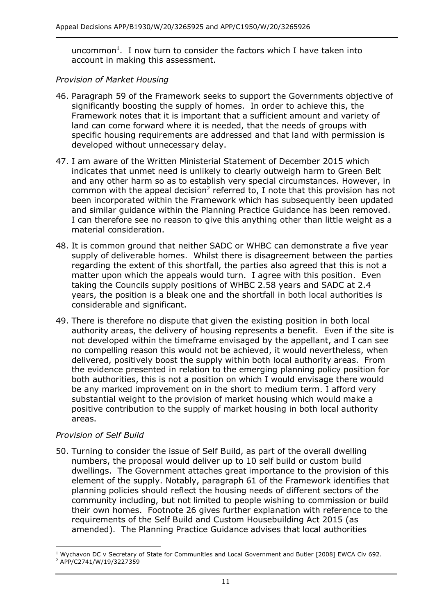uncommon<sup>1</sup>. I now turn to consider the factors which I have taken into account in making this assessment.

#### *Provision of Market Housing*

- 46. Paragraph 59 of the Framework seeks to support the Governments objective of significantly boosting the supply of homes. In order to achieve this, the Framework notes that it is important that a sufficient amount and variety of land can come forward where it is needed, that the needs of groups with specific housing requirements are addressed and that land with permission is developed without unnecessary delay.
- 47. I am aware of the Written Ministerial Statement of December 2015 which indicates that unmet need is unlikely to clearly outweigh harm to Green Belt and any other harm so as to establish very special circumstances. However, in common with the appeal decision<sup>2</sup> referred to, I note that this provision has not been incorporated within the Framework which has subsequently been updated and similar guidance within the Planning Practice Guidance has been removed. I can therefore see no reason to give this anything other than little weight as a material consideration.
- 48. It is common ground that neither SADC or WHBC can demonstrate a five year supply of deliverable homes. Whilst there is disagreement between the parties regarding the extent of this shortfall, the parties also agreed that this is not a matter upon which the appeals would turn. I agree with this position. Even taking the Councils supply positions of WHBC 2.58 years and SADC at 2.4 years, the position is a bleak one and the shortfall in both local authorities is considerable and significant.
- 49. There is therefore no dispute that given the existing position in both local authority areas, the delivery of housing represents a benefit. Even if the site is not developed within the timeframe envisaged by the appellant, and I can see no compelling reason this would not be achieved, it would nevertheless, when delivered, positively boost the supply within both local authority areas. From the evidence presented in relation to the emerging planning policy position for both authorities, this is not a position on which I would envisage there would be any marked improvement on in the short to medium term. I afford very substantial weight to the provision of market housing which would make a positive contribution to the supply of market housing in both local authority areas.

#### *Provision of Self Build*

50. Turning to consider the issue of Self Build, as part of the overall dwelling numbers, the proposal would deliver up to 10 self build or custom build dwellings. The Government attaches great importance to the provision of this element of the supply. Notably, paragraph 61 of the Framework identifies that planning policies should reflect the housing needs of different sectors of the community including, but not limited to people wishing to commission or build their own homes. Footnote 26 gives further explanation with reference to the requirements of the Self Build and Custom Housebuilding Act 2015 (as amended). The Planning Practice Guidance advises that local authorities

<sup>&</sup>lt;sup>1</sup> Wychavon DC v Secretary of State for Communities and Local Government and Butler [2008] EWCA Civ 692. <sup>2</sup> APP/C2741/W/19/3227359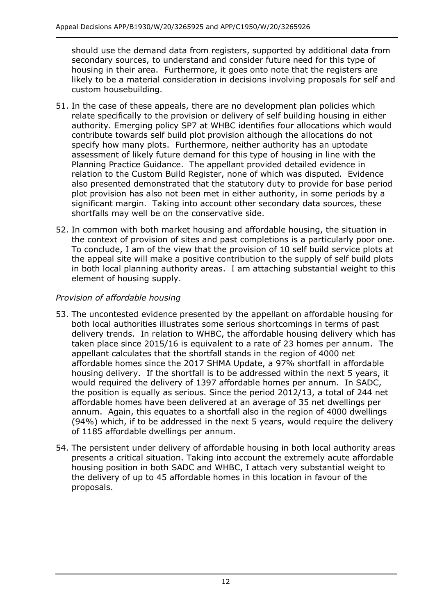should use the demand data from registers, supported by additional data from secondary sources, to understand and consider future need for this type of housing in their area. Furthermore, it goes onto note that the registers are likely to be a material consideration in decisions involving proposals for self and custom housebuilding.

- 51. In the case of these appeals, there are no development plan policies which relate specifically to the provision or delivery of self building housing in either authority. Emerging policy SP7 at WHBC identifies four allocations which would contribute towards self build plot provision although the allocations do not specify how many plots. Furthermore, neither authority has an uptodate assessment of likely future demand for this type of housing in line with the Planning Practice Guidance. The appellant provided detailed evidence in relation to the Custom Build Register, none of which was disputed. Evidence also presented demonstrated that the statutory duty to provide for base period plot provision has also not been met in either authority, in some periods by a significant margin. Taking into account other secondary data sources, these shortfalls may well be on the conservative side.
- 52. In common with both market housing and affordable housing, the situation in the context of provision of sites and past completions is a particularly poor one. To conclude, I am of the view that the provision of 10 self build service plots at the appeal site will make a positive contribution to the supply of self build plots in both local planning authority areas. I am attaching substantial weight to this element of housing supply.

# *Provision of affordable housing*

- 53. The uncontested evidence presented by the appellant on affordable housing for both local authorities illustrates some serious shortcomings in terms of past delivery trends. In relation to WHBC, the affordable housing delivery which has taken place since 2015/16 is equivalent to a rate of 23 homes per annum. The appellant calculates that the shortfall stands in the region of 4000 net affordable homes since the 2017 SHMA Update, a 97% shortfall in affordable housing delivery. If the shortfall is to be addressed within the next 5 years, it would required the delivery of 1397 affordable homes per annum. In SADC, the position is equally as serious. Since the period 2012/13, a total of 244 net affordable homes have been delivered at an average of 35 net dwellings per annum. Again, this equates to a shortfall also in the region of 4000 dwellings (94%) which, if to be addressed in the next 5 years, would require the delivery of 1185 affordable dwellings per annum.
- 54. The persistent under delivery of affordable housing in both local authority areas presents a critical situation. Taking into account the extremely acute affordable housing position in both SADC and WHBC, I attach very substantial weight to the delivery of up to 45 affordable homes in this location in favour of the proposals.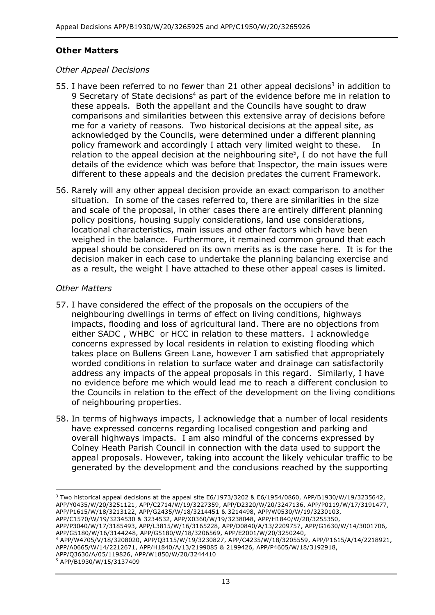## **Other Matters**

#### *Other Appeal Decisions*

- 55. I have been referred to no fewer than 21 other appeal decisions<sup>3</sup> in addition to 9 Secretary of State decisions<sup>4</sup> as part of the evidence before me in relation to these appeals. Both the appellant and the Councils have sought to draw comparisons and similarities between this extensive array of decisions before me for a variety of reasons. Two historical decisions at the appeal site, as acknowledged by the Councils, were determined under a different planning policy framework and accordingly I attach very limited weight to these. In relation to the appeal decision at the neighbouring site<sup>5</sup>, I do not have the full details of the evidence which was before that Inspector, the main issues were different to these appeals and the decision predates the current Framework.
- 56. Rarely will any other appeal decision provide an exact comparison to another situation. In some of the cases referred to, there are similarities in the size and scale of the proposal, in other cases there are entirely different planning policy positions, housing supply considerations, land use considerations, locational characteristics, main issues and other factors which have been weighed in the balance. Furthermore, it remained common ground that each appeal should be considered on its own merits as is the case here. It is for the decision maker in each case to undertake the planning balancing exercise and as a result, the weight I have attached to these other appeal cases is limited.

#### *Other Matters*

- 57. I have considered the effect of the proposals on the occupiers of the neighbouring dwellings in terms of effect on living conditions, highways impacts, flooding and loss of agricultural land. There are no objections from either SADC , WHBC or HCC in relation to these matters. I acknowledge concerns expressed by local residents in relation to existing flooding which takes place on Bullens Green Lane, however I am satisfied that appropriately worded conditions in relation to surface water and drainage can satisfactorily address any impacts of the appeal proposals in this regard. Similarly, I have no evidence before me which would lead me to reach a different conclusion to the Councils in relation to the effect of the development on the living conditions of neighbouring properties.
- 58. In terms of highways impacts, I acknowledge that a number of local residents have expressed concerns regarding localised congestion and parking and overall highways impacts. I am also mindful of the concerns expressed by Colney Heath Parish Council in connection with the data used to support the appeal proposals. However, taking into account the likely vehicular traffic to be generated by the development and the conclusions reached by the supporting

<sup>3</sup> Two historical appeal decisions at the appeal site E6/1973/3202 & E6/1954/0860, APP/B1930/W/19/3235642, APP/Y0435/W/20/3251121, APP/C2714/W/19/3227359, APP/D2320/W/20/3247136, APP/P0119/W/17/3191477, APP/P1615/W/18/3213122, APP/G2435/W/18/3214451 & 3214498, APP/W0530/W/19/3230103, APP/C1570/W/19/3234530 & 3234532, APP/X0360/W/19/3238048, APP/H1840/W/20/3255350, APP/P3040/W/17/3185493, APP/L3815/W/16/3165228, APP/D0840/A/13/2209757, APP/G1630/W/14/3001706, APP/G5180/W/16/3144248, APP/G5180/W/18/3206569, APP/E2001/W/20/3250240, <sup>4</sup> APP/W4705/V/18/3208020, APP/Q3115/W/19/3230827, APP/C4235/W/18/3205559, APP/P1615/A/14/2218921, APP/A0665/W/14/2212671, APP/H1840/A/13/2199085 & 2199426, APP/P4605/W/18/3192918, APP/Q3630/A/05/119826, APP/W1850/W/20/3244410 <sup>5</sup> APP/B1930/W/15/3137409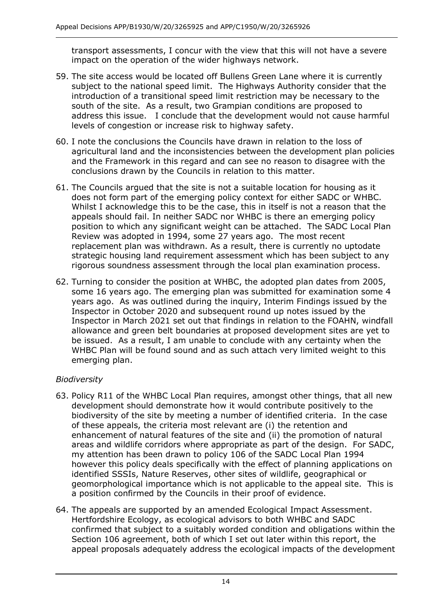transport assessments, I concur with the view that this will not have a severe impact on the operation of the wider highways network.

- 59. The site access would be located off Bullens Green Lane where it is currently subject to the national speed limit. The Highways Authority consider that the introduction of a transitional speed limit restriction may be necessary to the south of the site. As a result, two Grampian conditions are proposed to address this issue. I conclude that the development would not cause harmful levels of congestion or increase risk to highway safety.
- 60. I note the conclusions the Councils have drawn in relation to the loss of agricultural land and the inconsistencies between the development plan policies and the Framework in this regard and can see no reason to disagree with the conclusions drawn by the Councils in relation to this matter.
- 61. The Councils argued that the site is not a suitable location for housing as it does not form part of the emerging policy context for either SADC or WHBC. Whilst I acknowledge this to be the case, this in itself is not a reason that the appeals should fail. In neither SADC nor WHBC is there an emerging policy position to which any significant weight can be attached. The SADC Local Plan Review was adopted in 1994, some 27 years ago. The most recent replacement plan was withdrawn. As a result, there is currently no uptodate strategic housing land requirement assessment which has been subject to any rigorous soundness assessment through the local plan examination process.
- 62. Turning to consider the position at WHBC, the adopted plan dates from 2005, some 16 years ago. The emerging plan was submitted for examination some 4 years ago. As was outlined during the inquiry, Interim Findings issued by the Inspector in October 2020 and subsequent round up notes issued by the Inspector in March 2021 set out that findings in relation to the FOAHN, windfall allowance and green belt boundaries at proposed development sites are yet to be issued. As a result, I am unable to conclude with any certainty when the WHBC Plan will be found sound and as such attach very limited weight to this emerging plan.

# *Biodiversity*

- 63. Policy R11 of the WHBC Local Plan requires, amongst other things, that all new development should demonstrate how it would contribute positively to the biodiversity of the site by meeting a number of identified criteria. In the case of these appeals, the criteria most relevant are (i) the retention and enhancement of natural features of the site and (ii) the promotion of natural areas and wildlife corridors where appropriate as part of the design. For SADC, my attention has been drawn to policy 106 of the SADC Local Plan 1994 however this policy deals specifically with the effect of planning applications on identified SSSIs, Nature Reserves, other sites of wildlife, geographical or geomorphological importance which is not applicable to the appeal site. This is a position confirmed by the Councils in their proof of evidence.
- 64. The appeals are supported by an amended Ecological Impact Assessment. Hertfordshire Ecology, as ecological advisors to both WHBC and SADC confirmed that subject to a suitably worded condition and obligations within the Section 106 agreement, both of which I set out later within this report, the appeal proposals adequately address the ecological impacts of the development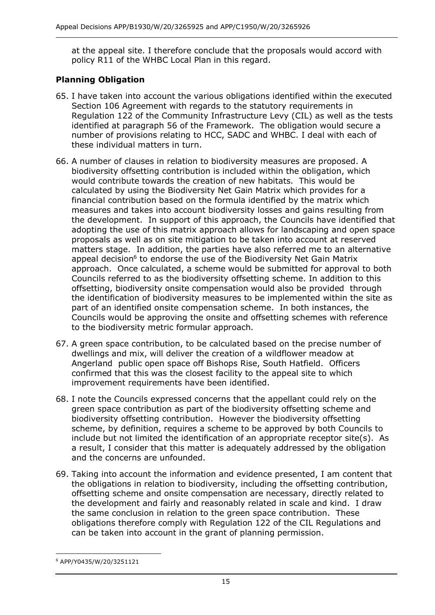at the appeal site. I therefore conclude that the proposals would accord with policy R11 of the WHBC Local Plan in this regard.

# **Planning Obligation**

- 65. I have taken into account the various obligations identified within the executed Section 106 Agreement with regards to the statutory requirements in Regulation 122 of the Community Infrastructure Levy (CIL) as well as the tests identified at paragraph 56 of the Framework. The obligation would secure a number of provisions relating to HCC, SADC and WHBC. I deal with each of these individual matters in turn.
- 66. A number of clauses in relation to biodiversity measures are proposed. A biodiversity offsetting contribution is included within the obligation, which would contribute towards the creation of new habitats. This would be calculated by using the Biodiversity Net Gain Matrix which provides for a financial contribution based on the formula identified by the matrix which measures and takes into account biodiversity losses and gains resulting from the development. In support of this approach, the Councils have identified that adopting the use of this matrix approach allows for landscaping and open space proposals as well as on site mitigation to be taken into account at reserved matters stage. In addition, the parties have also referred me to an alternative appeal decision<sup>6</sup> to endorse the use of the Biodiversity Net Gain Matrix approach. Once calculated, a scheme would be submitted for approval to both Councils referred to as the biodiversity offsetting scheme. In addition to this offsetting, biodiversity onsite compensation would also be provided through the identification of biodiversity measures to be implemented within the site as part of an identified onsite compensation scheme. In both instances, the Councils would be approving the onsite and offsetting schemes with reference to the biodiversity metric formular approach.
- 67. A green space contribution, to be calculated based on the precise number of dwellings and mix, will deliver the creation of a wildflower meadow at Angerland public open space off Bishops Rise, South Hatfield. Officers confirmed that this was the closest facility to the appeal site to which improvement requirements have been identified.
- 68. I note the Councils expressed concerns that the appellant could rely on the green space contribution as part of the biodiversity offsetting scheme and biodiversity offsetting contribution. However the biodiversity offsetting scheme, by definition, requires a scheme to be approved by both Councils to include but not limited the identification of an appropriate receptor site(s). As a result, I consider that this matter is adequately addressed by the obligation and the concerns are unfounded.
- 69. Taking into account the information and evidence presented, I am content that the obligations in relation to biodiversity, including the offsetting contribution, offsetting scheme and onsite compensation are necessary, directly related to the development and fairly and reasonably related in scale and kind. I draw the same conclusion in relation to the green space contribution. These obligations therefore comply with Regulation 122 of the CIL Regulations and can be taken into account in the grant of planning permission.

<sup>6</sup> APP/Y0435/W/20/3251121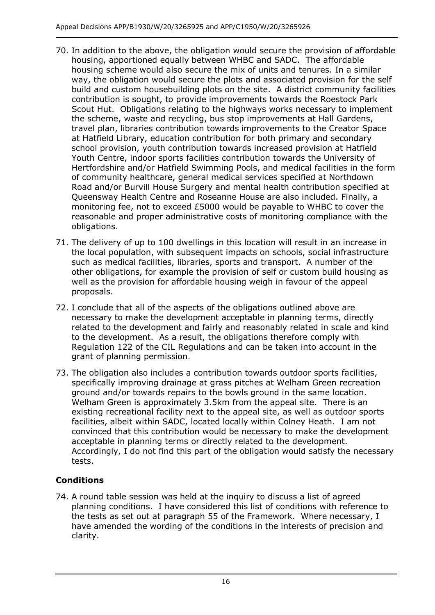- 70. In addition to the above, the obligation would secure the provision of affordable housing, apportioned equally between WHBC and SADC. The affordable housing scheme would also secure the mix of units and tenures. In a similar way, the obligation would secure the plots and associated provision for the self build and custom housebuilding plots on the site. A district community facilities contribution is sought, to provide improvements towards the Roestock Park Scout Hut. Obligations relating to the highways works necessary to implement the scheme, waste and recycling, bus stop improvements at Hall Gardens, travel plan, libraries contribution towards improvements to the Creator Space at Hatfield Library, education contribution for both primary and secondary school provision, youth contribution towards increased provision at Hatfield Youth Centre, indoor sports facilities contribution towards the University of Hertfordshire and/or Hatfield Swimming Pools, and medical facilities in the form of community healthcare, general medical services specified at Northdown Road and/or Burvill House Surgery and mental health contribution specified at Queensway Health Centre and Roseanne House are also included. Finally, a monitoring fee, not to exceed £5000 would be payable to WHBC to cover the reasonable and proper administrative costs of monitoring compliance with the obligations.
- 71. The delivery of up to 100 dwellings in this location will result in an increase in the local population, with subsequent impacts on schools, social infrastructure such as medical facilities, libraries, sports and transport. A number of the other obligations, for example the provision of self or custom build housing as well as the provision for affordable housing weigh in favour of the appeal proposals.
- 72. I conclude that all of the aspects of the obligations outlined above are necessary to make the development acceptable in planning terms, directly related to the development and fairly and reasonably related in scale and kind to the development. As a result, the obligations therefore comply with Regulation 122 of the CIL Regulations and can be taken into account in the grant of planning permission.
- 73. The obligation also includes a contribution towards outdoor sports facilities, specifically improving drainage at grass pitches at Welham Green recreation ground and/or towards repairs to the bowls ground in the same location. Welham Green is approximately 3.5km from the appeal site. There is an existing recreational facility next to the appeal site, as well as outdoor sports facilities, albeit within SADC, located locally within Colney Heath. I am not convinced that this contribution would be necessary to make the development acceptable in planning terms or directly related to the development. Accordingly, I do not find this part of the obligation would satisfy the necessary tests.

# **Conditions**

74. A round table session was held at the inquiry to discuss a list of agreed planning conditions. I have considered this list of conditions with reference to the tests as set out at paragraph 55 of the Framework. Where necessary, I have amended the wording of the conditions in the interests of precision and clarity.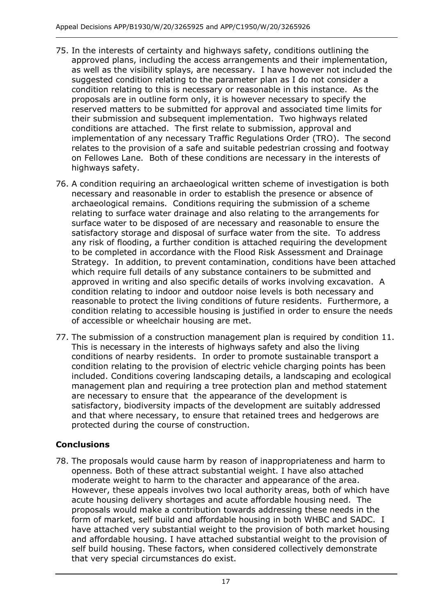- 75. In the interests of certainty and highways safety, conditions outlining the approved plans, including the access arrangements and their implementation, as well as the visibility splays, are necessary. I have however not included the suggested condition relating to the parameter plan as I do not consider a condition relating to this is necessary or reasonable in this instance. As the proposals are in outline form only, it is however necessary to specify the reserved matters to be submitted for approval and associated time limits for their submission and subsequent implementation. Two highways related conditions are attached. The first relate to submission, approval and implementation of any necessary Traffic Regulations Order (TRO). The second relates to the provision of a safe and suitable pedestrian crossing and footway on Fellowes Lane. Both of these conditions are necessary in the interests of highways safety.
- 76. A condition requiring an archaeological written scheme of investigation is both necessary and reasonable in order to establish the presence or absence of archaeological remains. Conditions requiring the submission of a scheme relating to surface water drainage and also relating to the arrangements for surface water to be disposed of are necessary and reasonable to ensure the satisfactory storage and disposal of surface water from the site. To address any risk of flooding, a further condition is attached requiring the development to be completed in accordance with the Flood Risk Assessment and Drainage Strategy. In addition, to prevent contamination, conditions have been attached which require full details of any substance containers to be submitted and approved in writing and also specific details of works involving excavation. A condition relating to indoor and outdoor noise levels is both necessary and reasonable to protect the living conditions of future residents. Furthermore, a condition relating to accessible housing is justified in order to ensure the needs of accessible or wheelchair housing are met.
- 77. The submission of a construction management plan is required by condition 11. This is necessary in the interests of highways safety and also the living conditions of nearby residents. In order to promote sustainable transport a condition relating to the provision of electric vehicle charging points has been included. Conditions covering landscaping details, a landscaping and ecological management plan and requiring a tree protection plan and method statement are necessary to ensure that the appearance of the development is satisfactory, biodiversity impacts of the development are suitably addressed and that where necessary, to ensure that retained trees and hedgerows are protected during the course of construction.

# **Conclusions**

78. The proposals would cause harm by reason of inappropriateness and harm to openness. Both of these attract substantial weight. I have also attached moderate weight to harm to the character and appearance of the area. However, these appeals involves two local authority areas, both of which have acute housing delivery shortages and acute affordable housing need. The proposals would make a contribution towards addressing these needs in the form of market, self build and affordable housing in both WHBC and SADC. I have attached very substantial weight to the provision of both market housing and affordable housing. I have attached substantial weight to the provision of self build housing. These factors, when considered collectively demonstrate that very special circumstances do exist.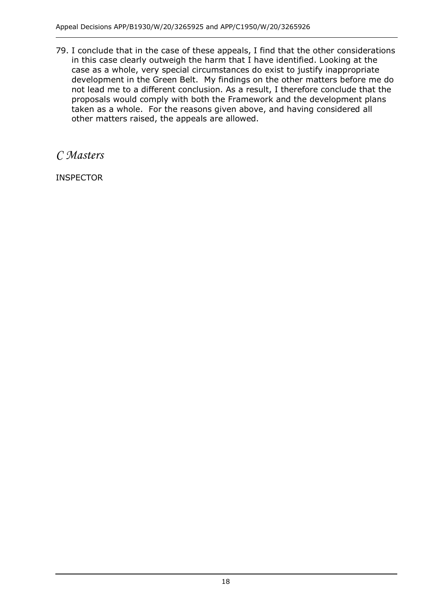79. I conclude that in the case of these appeals, I find that the other considerations in this case clearly outweigh the harm that I have identified. Looking at the case as a whole, very special circumstances do exist to justify inappropriate development in the Green Belt. My findings on the other matters before me do not lead me to a different conclusion. As a result, I therefore conclude that the proposals would comply with both the Framework and the development plans taken as a whole. For the reasons given above, and having considered all other matters raised, the appeals are allowed.

*C Masters*

INSPECTOR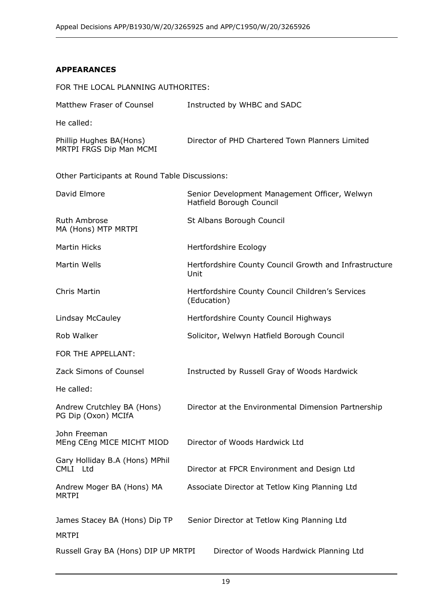### **APPEARANCES**

| FOR THE LOCAL PLANNING AUTHORITES:                 |                                                                           |
|----------------------------------------------------|---------------------------------------------------------------------------|
| Matthew Fraser of Counsel                          | Instructed by WHBC and SADC                                               |
| He called:                                         |                                                                           |
| Phillip Hughes BA(Hons)<br>MRTPI FRGS Dip Man MCMI | Director of PHD Chartered Town Planners Limited                           |
| Other Participants at Round Table Discussions:     |                                                                           |
| David Elmore                                       | Senior Development Management Officer, Welwyn<br>Hatfield Borough Council |
| Ruth Ambrose<br>MA (Hons) MTP MRTPI                | St Albans Borough Council                                                 |
| <b>Martin Hicks</b>                                | Hertfordshire Ecology                                                     |
| Martin Wells                                       | Hertfordshire County Council Growth and Infrastructure<br>Unit            |
| Chris Martin                                       | Hertfordshire County Council Children's Services<br>(Education)           |
| Lindsay McCauley                                   | Hertfordshire County Council Highways                                     |
| Rob Walker                                         | Solicitor, Welwyn Hatfield Borough Council                                |
| FOR THE APPELLANT:                                 |                                                                           |
| Zack Simons of Counsel                             | Instructed by Russell Gray of Woods Hardwick                              |
| He called:                                         |                                                                           |
| Andrew Crutchley BA (Hons)<br>PG Dip (Oxon) MCIfA  | Director at the Environmental Dimension Partnership                       |
| John Freeman<br>MEng CEng MICE MICHT MIOD          | Director of Woods Hardwick Ltd                                            |
| Gary Holliday B.A (Hons) MPhil<br>CMLI Ltd         | Director at FPCR Environment and Design Ltd                               |
| Andrew Moger BA (Hons) MA<br><b>MRTPI</b>          | Associate Director at Tetlow King Planning Ltd                            |
| James Stacey BA (Hons) Dip TP                      | Senior Director at Tetlow King Planning Ltd                               |
| <b>MRTPI</b>                                       |                                                                           |
| Russell Gray BA (Hons) DIP UP MRTPI                | Director of Woods Hardwick Planning Ltd                                   |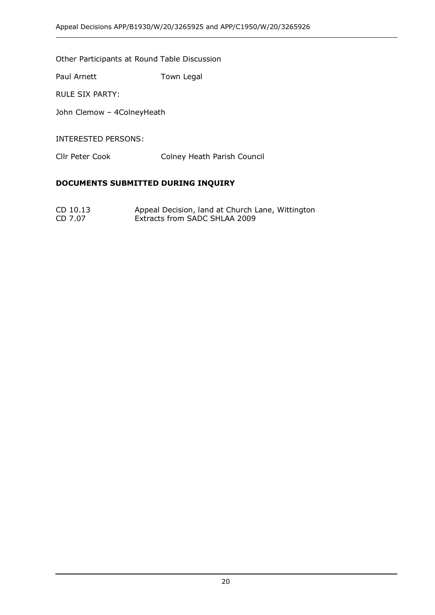Other Participants at Round Table Discussion

Paul Arnett Town Legal

RULE SIX PARTY:

John Clemow – 4ColneyHeath

INTERESTED PERSONS:

Cllr Peter Cook Colney Heath Parish Council

#### **DOCUMENTS SUBMITTED DURING INQUIRY**

CD 10.13 Appeal Decision, land at Church Lane, Wittington<br>CD 7.07 Extracts from SADC SHLAA 2009 Extracts from SADC SHLAA 2009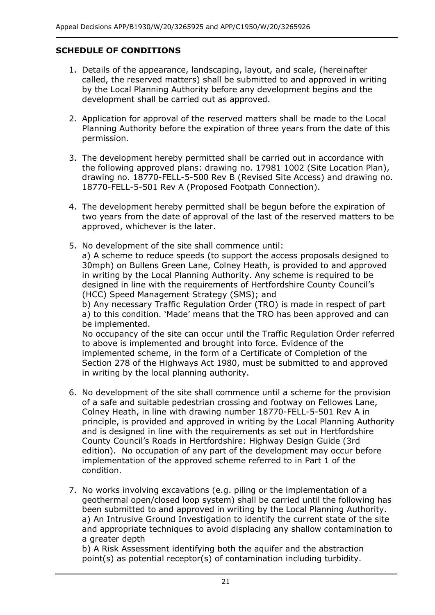# **SCHEDULE OF CONDITIONS**

- 1. Details of the appearance, landscaping, layout, and scale, (hereinafter called, the reserved matters) shall be submitted to and approved in writing by the Local Planning Authority before any development begins and the development shall be carried out as approved.
- 2. Application for approval of the reserved matters shall be made to the Local Planning Authority before the expiration of three years from the date of this permission.
- 3. The development hereby permitted shall be carried out in accordance with the following approved plans: drawing no. 17981 1002 (Site Location Plan), drawing no. 18770-FELL-5-500 Rev B (Revised Site Access) and drawing no. 18770-FELL-5-501 Rev A (Proposed Footpath Connection).
- 4. The development hereby permitted shall be begun before the expiration of two years from the date of approval of the last of the reserved matters to be approved, whichever is the later.
- 5. No development of the site shall commence until: a) A scheme to reduce speeds (to support the access proposals designed to 30mph) on Bullens Green Lane, Colney Heath, is provided to and approved in writing by the Local Planning Authority. Any scheme is required to be designed in line with the requirements of Hertfordshire County Council's (HCC) Speed Management Strategy (SMS); and b) Any necessary Traffic Regulation Order (TRO) is made in respect of part a) to this condition. 'Made' means that the TRO has been approved and can be implemented. No occupancy of the site can occur until the Traffic Regulation Order referred to above is implemented and brought into force. Evidence of the implemented scheme, in the form of a Certificate of Completion of the Section 278 of the Highways Act 1980, must be submitted to and approved in writing by the local planning authority.
- 6. No development of the site shall commence until a scheme for the provision of a safe and suitable pedestrian crossing and footway on Fellowes Lane, Colney Heath, in line with drawing number 18770-FELL-5-501 Rev A in principle, is provided and approved in writing by the Local Planning Authority and is designed in line with the requirements as set out in Hertfordshire County Council's Roads in Hertfordshire: Highway Design Guide (3rd edition). No occupation of any part of the development may occur before implementation of the approved scheme referred to in Part 1 of the condition.
- 7. No works involving excavations (e.g. piling or the implementation of a geothermal open/closed loop system) shall be carried until the following has been submitted to and approved in writing by the Local Planning Authority. a) An Intrusive Ground Investigation to identify the current state of the site and appropriate techniques to avoid displacing any shallow contamination to a greater depth

b) A Risk Assessment identifying both the aquifer and the abstraction point(s) as potential receptor(s) of contamination including turbidity.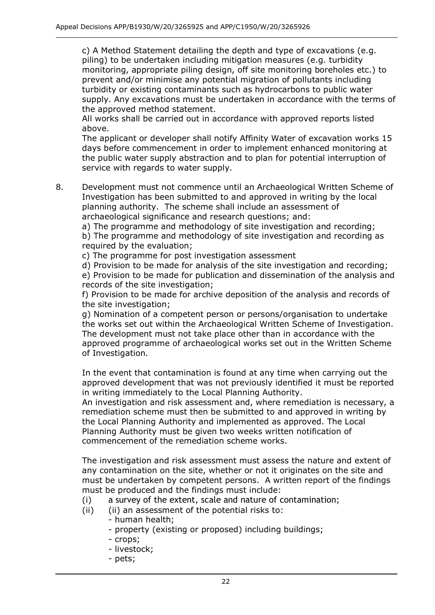c) A Method Statement detailing the depth and type of excavations (e.g. piling) to be undertaken including mitigation measures (e.g. turbidity monitoring, appropriate piling design, off site monitoring boreholes etc.) to prevent and/or minimise any potential migration of pollutants including turbidity or existing contaminants such as hydrocarbons to public water supply. Any excavations must be undertaken in accordance with the terms of the approved method statement.

All works shall be carried out in accordance with approved reports listed above.

The applicant or developer shall notify Affinity Water of excavation works 15 days before commencement in order to implement enhanced monitoring at the public water supply abstraction and to plan for potential interruption of service with regards to water supply.

8. Development must not commence until an Archaeological Written Scheme of Investigation has been submitted to and approved in writing by the local planning authority. The scheme shall include an assessment of archaeological significance and research questions; and:

a) The programme and methodology of site investigation and recording; b) The programme and methodology of site investigation and recording as required by the evaluation;

c) The programme for post investigation assessment

d) Provision to be made for analysis of the site investigation and recording; e) Provision to be made for publication and dissemination of the analysis and records of the site investigation;

f) Provision to be made for archive deposition of the analysis and records of the site investigation;

g) Nomination of a competent person or persons/organisation to undertake the works set out within the Archaeological Written Scheme of Investigation. The development must not take place other than in accordance with the approved programme of archaeological works set out in the Written Scheme of Investigation.

In the event that contamination is found at any time when carrying out the approved development that was not previously identified it must be reported in writing immediately to the Local Planning Authority.

An investigation and risk assessment and, where remediation is necessary, a remediation scheme must then be submitted to and approved in writing by the Local Planning Authority and implemented as approved. The Local Planning Authority must be given two weeks written notification of commencement of the remediation scheme works.

The investigation and risk assessment must assess the nature and extent of any contamination on the site, whether or not it originates on the site and must be undertaken by competent persons. A written report of the findings must be produced and the findings must include:

- (i) a survey of the extent, scale and nature of contamination;
- (ii) (ii) an assessment of the potential risks to:
	- human health;
		- property (existing or proposed) including buildings;
		- crops;
		- livestock;
		- pets;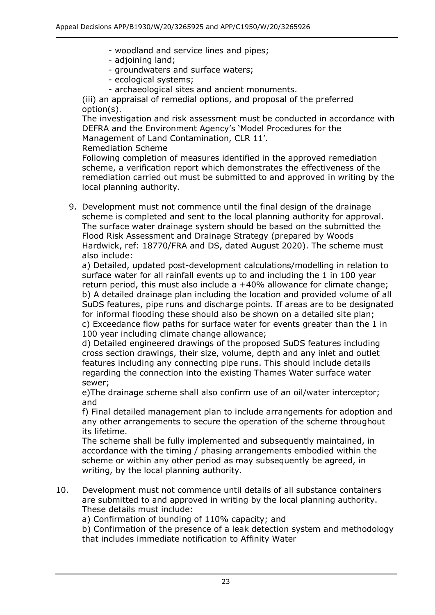- woodland and service lines and pipes;
- adjoining land;
- groundwaters and surface waters;
- ecological systems;
- archaeological sites and ancient monuments.

(iii) an appraisal of remedial options, and proposal of the preferred option(s).

The investigation and risk assessment must be conducted in accordance with DEFRA and the Environment Agency's 'Model Procedures for the Management of Land Contamination, CLR 11'.

Remediation Scheme

Following completion of measures identified in the approved remediation scheme, a verification report which demonstrates the effectiveness of the remediation carried out must be submitted to and approved in writing by the local planning authority.

9. Development must not commence until the final design of the drainage scheme is completed and sent to the local planning authority for approval. The surface water drainage system should be based on the submitted the Flood Risk Assessment and Drainage Strategy (prepared by Woods Hardwick, ref: 18770/FRA and DS, dated August 2020). The scheme must also include:

a) Detailed, updated post-development calculations/modelling in relation to surface water for all rainfall events up to and including the 1 in 100 year return period, this must also include a +40% allowance for climate change; b) A detailed drainage plan including the location and provided volume of all SuDS features, pipe runs and discharge points. If areas are to be designated for informal flooding these should also be shown on a detailed site plan; c) Exceedance flow paths for surface water for events greater than the 1 in 100 year including climate change allowance;

d) Detailed engineered drawings of the proposed SuDS features including cross section drawings, their size, volume, depth and any inlet and outlet features including any connecting pipe runs. This should include details regarding the connection into the existing Thames Water surface water sewer;

e)The drainage scheme shall also confirm use of an oil/water interceptor; and

f) Final detailed management plan to include arrangements for adoption and any other arrangements to secure the operation of the scheme throughout its lifetime.

The scheme shall be fully implemented and subsequently maintained, in accordance with the timing / phasing arrangements embodied within the scheme or within any other period as may subsequently be agreed, in writing, by the local planning authority.

10. Development must not commence until details of all substance containers are submitted to and approved in writing by the local planning authority. These details must include:

a) Confirmation of bunding of 110% capacity; and

b) Confirmation of the presence of a leak detection system and methodology that includes immediate notification to Affinity Water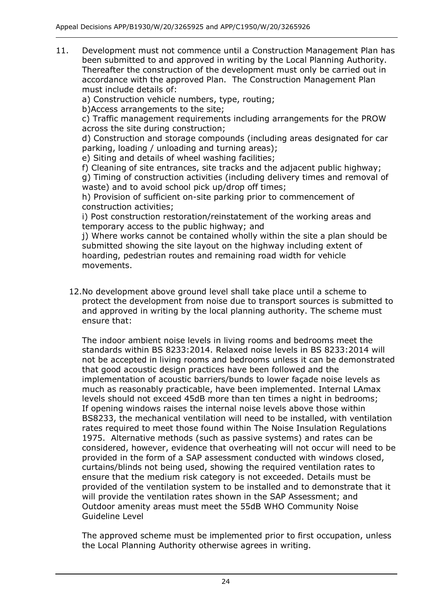11. Development must not commence until a Construction Management Plan has been submitted to and approved in writing by the Local Planning Authority. Thereafter the construction of the development must only be carried out in accordance with the approved Plan. The Construction Management Plan must include details of:

a) Construction vehicle numbers, type, routing;

b)Access arrangements to the site;

c) Traffic management requirements including arrangements for the PROW across the site during construction;

d) Construction and storage compounds (including areas designated for car parking, loading / unloading and turning areas);

e) Siting and details of wheel washing facilities;

f) Cleaning of site entrances, site tracks and the adjacent public highway; g) Timing of construction activities (including delivery times and removal of waste) and to avoid school pick up/drop off times;

h) Provision of sufficient on-site parking prior to commencement of construction activities;

i) Post construction restoration/reinstatement of the working areas and temporary access to the public highway; and

j) Where works cannot be contained wholly within the site a plan should be submitted showing the site layout on the highway including extent of hoarding, pedestrian routes and remaining road width for vehicle movements.

12.No development above ground level shall take place until a scheme to protect the development from noise due to transport sources is submitted to and approved in writing by the local planning authority. The scheme must ensure that:

The indoor ambient noise levels in living rooms and bedrooms meet the standards within BS 8233:2014. Relaxed noise levels in BS 8233:2014 will not be accepted in living rooms and bedrooms unless it can be demonstrated that good acoustic design practices have been followed and the implementation of acoustic barriers/bunds to lower façade noise levels as much as reasonably practicable, have been implemented. Internal LAmax levels should not exceed 45dB more than ten times a night in bedrooms; If opening windows raises the internal noise levels above those within BS8233, the mechanical ventilation will need to be installed, with ventilation rates required to meet those found within The Noise Insulation Regulations 1975. Alternative methods (such as passive systems) and rates can be considered, however, evidence that overheating will not occur will need to be provided in the form of a SAP assessment conducted with windows closed, curtains/blinds not being used, showing the required ventilation rates to ensure that the medium risk category is not exceeded. Details must be provided of the ventilation system to be installed and to demonstrate that it will provide the ventilation rates shown in the SAP Assessment; and Outdoor amenity areas must meet the 55dB WHO Community Noise Guideline Level

The approved scheme must be implemented prior to first occupation, unless the Local Planning Authority otherwise agrees in writing.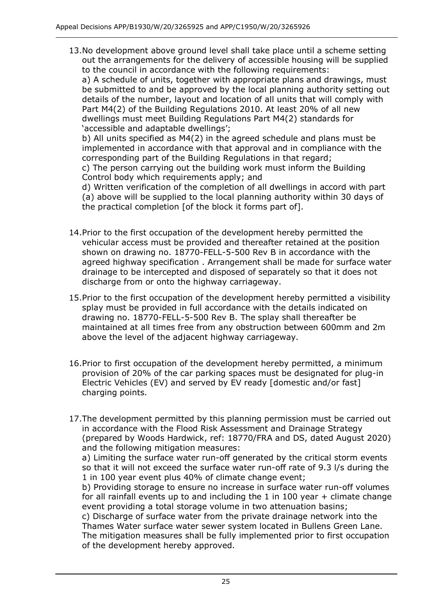13.No development above ground level shall take place until a scheme setting out the arrangements for the delivery of accessible housing will be supplied to the council in accordance with the following requirements:

a) A schedule of units, together with appropriate plans and drawings, must be submitted to and be approved by the local planning authority setting out details of the number, layout and location of all units that will comply with Part M4(2) of the Building Regulations 2010. At least 20% of all new dwellings must meet Building Regulations Part M4(2) standards for 'accessible and adaptable dwellings';

b) All units specified as M4(2) in the agreed schedule and plans must be implemented in accordance with that approval and in compliance with the corresponding part of the Building Regulations in that regard; c) The person carrying out the building work must inform the Building Control body which requirements apply; and

d) Written verification of the completion of all dwellings in accord with part (a) above will be supplied to the local planning authority within 30 days of the practical completion [of the block it forms part of].

- 14.Prior to the first occupation of the development hereby permitted the vehicular access must be provided and thereafter retained at the position shown on drawing no. 18770-FELL-5-500 Rev B in accordance with the agreed highway specification . Arrangement shall be made for surface water drainage to be intercepted and disposed of separately so that it does not discharge from or onto the highway carriageway.
- 15.Prior to the first occupation of the development hereby permitted a visibility splay must be provided in full accordance with the details indicated on drawing no. 18770-FELL-5-500 Rev B. The splay shall thereafter be maintained at all times free from any obstruction between 600mm and 2m above the level of the adjacent highway carriageway.
- 16.Prior to first occupation of the development hereby permitted, a minimum provision of 20% of the car parking spaces must be designated for plug-in Electric Vehicles (EV) and served by EV ready [domestic and/or fast] charging points.
- 17.The development permitted by this planning permission must be carried out in accordance with the Flood Risk Assessment and Drainage Strategy (prepared by Woods Hardwick, ref: 18770/FRA and DS, dated August 2020) and the following mitigation measures:

a) Limiting the surface water run-off generated by the critical storm events so that it will not exceed the surface water run-off rate of 9.3 l/s during the 1 in 100 year event plus 40% of climate change event;

b) Providing storage to ensure no increase in surface water run-off volumes for all rainfall events up to and including the 1 in 100 year  $+$  climate change event providing a total storage volume in two attenuation basins;

c) Discharge of surface water from the private drainage network into the Thames Water surface water sewer system located in Bullens Green Lane. The mitigation measures shall be fully implemented prior to first occupation of the development hereby approved.